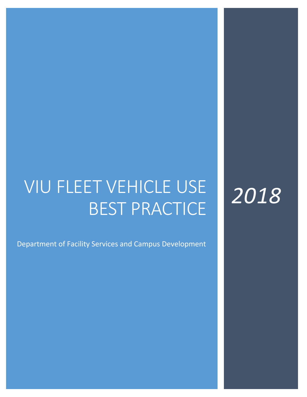# VIU FLEET VEHICLE USE BEST PRACTICE

*2018*

Department of Facility Services and Campus Development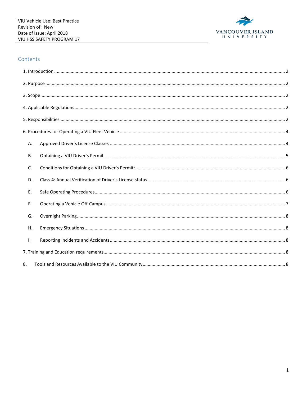

#### Contents

| А.        |  |
|-----------|--|
| <b>B.</b> |  |
| C.        |  |
| D.        |  |
| Ε.        |  |
| F.        |  |
| G.        |  |
| Η.        |  |
| Τ.        |  |
|           |  |
| 8.        |  |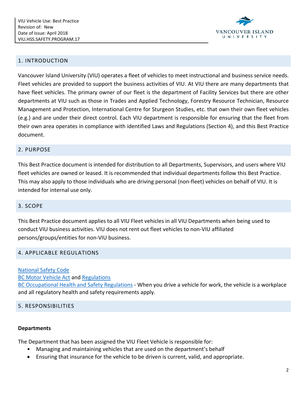

#### <span id="page-2-0"></span>1. INTRODUCTION

Vancouver Island University (VIU) operates a fleet of vehicles to meet instructional and business service needs. Fleet vehicles are provided to support the business activities of VIU. At VIU there are many departments that have fleet vehicles. The primary owner of our fleet is the department of Facility Services but there are other departments at VIU such as those in Trades and Applied Technology, Forestry Resource Technician, Resource Management and Protection, International Centre for Sturgeon Studies, etc. that own their own fleet vehicles (e.g.) and are under their direct control. Each VIU department is responsible for ensuring that the fleet from their own area operates in compliance with identified Laws and Regulations (Section 4), and this Best Practice document.

#### <span id="page-2-1"></span>2. PURPOSE

This Best Practice document is intended for distribution to all Departments, Supervisors, and users where VIU fleet vehicles are owned or leased. It is recommended that individual departments follow this Best Practice. This may also apply to those individuals who are driving personal (non-fleet) vehicles on behalf of VIU. It is intended for internal use only.

#### <span id="page-2-2"></span>3. SCOPE

This Best Practice document applies to all VIU Fleet vehicles in all VIU Departments when being used to conduct VIU business activities. VIU does not rent out fleet vehicles to non-VIU affiliated persons/groups/entities for non-VIU business.

#### <span id="page-2-3"></span>4. APPLICABLE REGULATIONS

#### National [Safety Code](http://www.cvse.ca/national_safety_code.htm)

[BC Motor Vehicle Act](http://www.bclaws.ca/civix/document/id/complete/statreg/96318_00) and [Regulations](http://www.bclaws.ca/civix/document/id/complete/statreg/26_58_00)

[BC Occupational Health and Safety Regulations](https://www.worksafebc.com/en/health-safety/industries/transportation/law-policy) - When you drive a vehicle for work, the vehicle is a workplace and all regulatory health and safety requirements apply.

#### <span id="page-2-4"></span>5. RESPONSIBILITIES

#### **Departments**

The Department that has been assigned the VIU Fleet Vehicle is responsible for:

- Managing and maintaining vehicles that are used on the department's behalf
- Ensuring that insurance for the vehicle to be driven is current, valid, and appropriate.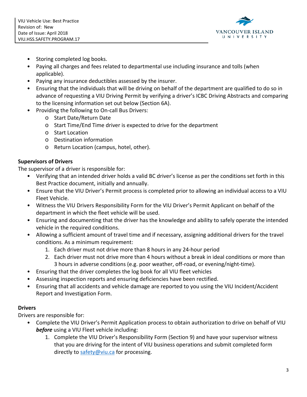

- Storing completed log books.
- Paying all charges and fees related to departmental use including insurance and tolls (when applicable).
- Paying any insurance deductibles assessed by the insurer.
- Ensuring that the individuals that will be driving on behalf of the department are qualified to do so in advance of requesting a VIU Driving Permit by verifying a driver's ICBC Driving Abstracts and comparing to the licensing information set out below (Section 6A).
- Providing the following to On-call Bus Drivers:
	- o Start Date/Return Date
	- o Start Time/End Time driver is expected to drive for the department
	- o Start Location
	- o Destination information
	- o Return Location (campus, hotel, other).

# **Supervisors of Drivers**

The supervisor of a driver is responsible for:

- Verifying that an intended driver holds a valid BC driver's license as per the conditions set forth in this Best Practice document, initially and annually.
- Ensure that the VIU Driver's Permit process is completed prior to allowing an individual access to a VIU Fleet Vehicle.
- Witness the VIU Drivers Responsibility Form for the VIU Driver's Permit Applicant on behalf of the department in which the fleet vehicle will be used.
- Ensuring and documenting that the driver has the knowledge and ability to safely operate the intended vehicle in the required conditions.
- Allowing a sufficient amount of travel time and if necessary, assigning additional drivers for the travel conditions. As a minimum requirement:
	- 1. Each driver must not drive more than 8 hours in any 24-hour period
	- 2. Each driver must not drive more than 4 hours without a break in ideal conditions or more than 3 hours in adverse conditions (e.g. poor weather, off-road, or evening/night-time).
- Ensuring that the driver completes the log book for all VIU fleet vehicles
- Assessing inspection reports and ensuring deficiencies have been rectified.
- Ensuring that all accidents and vehicle damage are reported to you using the VIU Incident/Accident Report and Investigation Form.

# **Drivers**

Drivers are responsible for:

- Complete the VIU Driver's Permit Application process to obtain authorization to drive on behalf of VIU *before* using a VIU Fleet vehicle including:
	- 1. Complete the VIU Driver's Responsibility Form (Section 9) and have your supervisor witness that you are driving for the intent of VIU business operations and submit completed form directly to [safety@viu.ca](mailto:safety@viu.ca) for processing.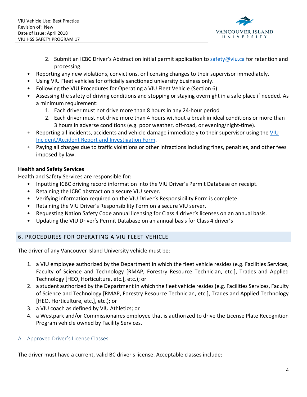

- 2. Submit an ICBC Driver's Abstract on initial permit application to [safety@viu.ca](mailto:safety@viu.ca) for retention and processing.
- Reporting any new violations, convictions, or licensing changes to their supervisor immediately.
- Using VIU Fleet vehicles for officially sanctioned university business only.
- Following the VIU Procedures for Operating a VIU Fleet Vehicle (Section 6)
- Assessing the safety of driving conditions and stopping or staying overnight in a safe place if needed. As a minimum requirement:
	- 1. Each driver must not drive more than 8 hours in any 24-hour period
	- 2. Each driver must not drive more than 4 hours without a break in ideal conditions or more than 3 hours in adverse conditions (e.g. poor weather, off-road, or evening/night-time).
- Reporting all incidents, accidents and vehicle damage immediately to their supervisor using the VIU [Incident/Accident Report and Investigation Form.](http://sites.viu.ca/healthandsafety/reporting-injuries-incidents/)
- Paying all charges due to traffic violations or other infractions including fines, penalties, and other fees imposed by law.

# **Health and Safety Services**

Health and Safety Services are responsible for:

- Inputting ICBC driving record information into the VIU Driver's Permit Database on receipt.
- Retaining the ICBC abstract on a secure VIU server.
- Verifying information required on the VIU Driver's Responsibility Form is complete.
- Retaining the VIU Driver's Responsibility Form on a secure VIU server.
- Requesting Nation Safety Code annual licensing for Class 4 driver's licenses on an annual basis.
- Updating the VIU Driver's Permit Database on an annual basis for Class 4 driver's

# <span id="page-4-0"></span>6. PROCEDURES FOR OPERATING A VIU FLEET VEHICLE

The driver of any Vancouver Island University vehicle must be:

- 1. a VIU employee authorized by the Department in which the fleet vehicle resides (e.g. Facilities Services, Faculty of Science and Technology [RMAP, Forestry Resource Technician, etc.], Trades and Applied Technology [HEO, Horticulture, etc.], etc.); or
- 2. a student authorized by the Department in which the fleet vehicle resides (e.g. Facilities Services, Faculty of Science and Technology [RMAP, Forestry Resource Technician, etc.], Trades and Applied Technology [HEO, Horticulture, etc.], etc.); or
- 3. a VIU coach as defined by VIU Athletics; or
- 4. a Westpark and/or Commissionaires employee that is authorized to drive the License Plate Recognition Program vehicle owned by Facility Services.

# <span id="page-4-1"></span>A. Approved Driver's License Classes

The driver must have a current, valid BC driver's license. Acceptable classes include: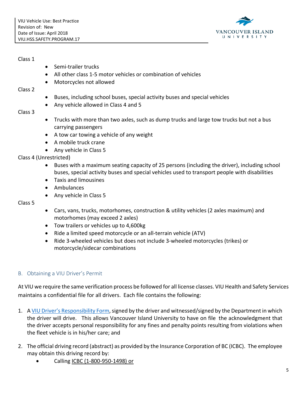

#### Class 1

- Semi-trailer trucks
- All other class 1-5 motor vehicles or combination of vehicles
- Motorcycles not allowed

#### Class 2

- Buses, including school buses, special activity buses and special vehicles
- Any vehicle allowed in Class 4 and 5

# Class 3

- Trucks with more than two axles, such as dump trucks and large tow trucks but not a bus carrying passengers
- A tow car towing a vehicle of any weight
- A mobile truck crane
- Any vehicle in Class 5

Class 4 (Unrestricted)

- Buses with a maximum seating capacity of 25 persons (including the driver), including school buses, special activity buses and special vehicles used to transport people with disabilities
- Taxis and limousines
- Ambulances
- Any vehicle in Class 5

# Class 5

- Cars, vans, trucks, motorhomes, construction & utility vehicles (2 axles maximum) and motorhomes (may exceed 2 axles)
- Tow trailers or vehicles up to 4,600kg
- Ride a limited speed motorcycle or an all-terrain vehicle (ATV)
- Ride 3-wheeled vehicles but does not include 3-wheeled motorcycles (trikes) or motorcycle/sidecar combinations

# <span id="page-5-0"></span>B. Obtaining a VIU Driver's Permit

At VIU we require the same verification process be followed for all license classes. VIU Health and Safety Services maintains a confidential file for all drivers. Each file contains the following:

- 1. A [VIU Driver's Responsibility Form,](http://sites.viu.ca/healthandsafety/formsmedialinks/) signed by the driver and witnessed/signed by the Department in which the driver will drive. This allows Vancouver Island University to have on file the acknowledgment that the driver accepts personal responsibility for any fines and penalty points resulting from violations when the fleet vehicle is in his/her care; and
- 2. The official driving record (abstract) as provided by the Insurance Corporation of BC (ICBC). The employee may obtain this driving record by:
	- Calling ICBC (1-800-950-1498) or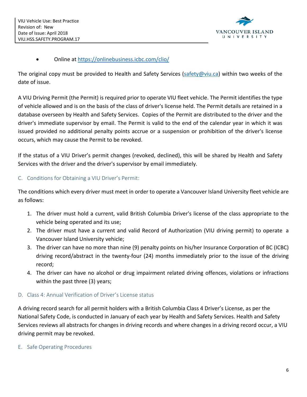

# • Online at<https://onlinebusiness.icbc.com/clio/>

The original copy must be provided to Health and Safety Services [\(safety@viu.ca\)](mailto:safety@viu.ca) within two weeks of the date of issue.

A VIU Driving Permit (the Permit) is required prior to operate VIU fleet vehicle. The Permit identifies the type of vehicle allowed and is on the basis of the class of driver's license held. The Permit details are retained in a database overseen by Health and Safety Services. Copies of the Permit are distributed to the driver and the driver's immediate supervisor by email. The Permit is valid to the end of the calendar year in which it was issued provided no additional penalty points accrue or a suspension or prohibition of the driver's license occurs, which may cause the Permit to be revoked.

If the status of a VIU Driver's permit changes (revoked, declined), this will be shared by Health and Safety Services with the driver and the driver's supervisor by email immediately.

# <span id="page-6-0"></span>C. Conditions for Obtaining a VIU Driver's Permit:

The conditions which every driver must meet in order to operate a Vancouver Island University fleet vehicle are as follows:

- 1. The driver must hold a current, valid British Columbia Driver's license of the class appropriate to the vehicle being operated and its use;
- 2. The driver must have a current and valid Record of Authorization (VIU driving permit) to operate a Vancouver Island University vehicle;
- 3. The driver can have no more than nine (9) penalty points on his/her Insurance Corporation of BC (ICBC) driving record/abstract in the twenty-four (24) months immediately prior to the issue of the driving record;
- 4. The driver can have no alcohol or drug impairment related driving offences, violations or infractions within the past three (3) years;

# <span id="page-6-1"></span>D. Class 4: Annual Verification of Driver's License status

A driving record search for all permit holders with a British Columbia Class 4 Driver's License, as per the National Safety Code, is conducted in January of each year by Health and Safety Services. Health and Safety Services reviews all abstracts for changes in driving records and where changes in a driving record occur, a VIU driving permit may be revoked.

#### <span id="page-6-2"></span>E. Safe Operating Procedures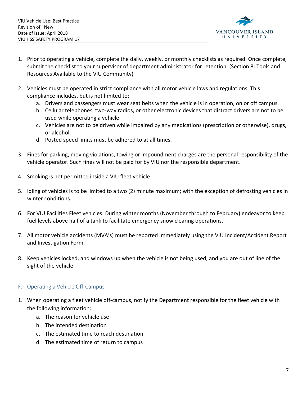

- 1. Prior to operating a vehicle, complete the daily, weekly, or monthly checklists as required. Once complete, submit the checklist to your supervisor of department administrator for retention. (Section 8: Tools and Resources Available to the VIU Community)
- 2. Vehicles must be operated in strict compliance with all motor vehicle laws and regulations. This compliance includes, but is not limited to:
	- a. Drivers and passengers must wear seat belts when the vehicle is in operation, on or off campus.
	- b. Cellular telephones, two-way radios, or other electronic devices that distract drivers are not to be used while operating a vehicle.
	- c. Vehicles are not to be driven while impaired by any medications (prescription or otherwise), drugs, or alcohol.
	- d. Posted speed limits must be adhered to at all times.
- 3. Fines for parking, moving violations, towing or impoundment charges are the personal responsibility of the vehicle operator. Such fines will not be paid for by VIU nor the responsible department.
- 4. Smoking is not permitted inside a VIU fleet vehicle.
- 5. Idling of vehicles is to be limited to a two (2) minute maximum; with the exception of defrosting vehicles in winter conditions.
- 6. For VIU Facilities Fleet vehicles: During winter months (November through to February) endeavor to keep fuel levels above half of a tank to facilitate emergency snow clearing operations.
- 7. All motor vehicle accidents (MVA's) must be reported immediately using the VIU Incident/Accident Report and Investigation Form.
- 8. Keep vehicles locked, and windows up when the vehicle is not being used, and you are out of line of the sight of the vehicle.

# <span id="page-7-0"></span>F. Operating a Vehicle Off-Campus

- 1. When operating a fleet vehicle off-campus, notify the Department responsible for the fleet vehicle with the following information:
	- a. The reason for vehicle use
	- b. The intended destination
	- c. The estimated time to reach destination
	- d. The estimated time of return to campus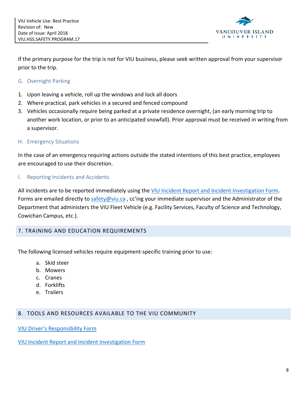

If the primary purpose for the trip is not for VIU business, please seek written approval from your supervisor prior to the trip.

- <span id="page-8-0"></span>G. Overnight Parking
- 1. Upon leaving a vehicle, roll up the windows and lock all doors
- 2. Where practical, park vehicles in a secured and fenced compound
- 3. Vehicles occasionally require being parked at a private residence overnight, (an early morning trip to another work location, or prior to an anticipated snowfall). Prior approval must be received in writing from a supervisor.
- <span id="page-8-1"></span>H. Emergency Situations

In the case of an emergency requiring actions outside the stated intentions of this best practice, employees are encouraged to use their discretion.

#### <span id="page-8-2"></span>I. Reporting Incidents and Accidents

All incidents are to be reported immediately using the [VIU Incident Report and Incident Investigation Form.](http://sites.viu.ca/healthandsafety/health-and-safety-services/reporting-injuries-incidents/) Forms are emailed directly t[o safety@viu.ca](mailto:safety@viu.ca) , cc'ing your immediate supervisor and the Administrator of the Department that administers the VIU Fleet Vehicle (e.g. Facility Services, Faculty of Science and Technology, Cowichan Campus, etc.).

# <span id="page-8-3"></span>7. TRAINING AND EDUCATION REQUIREMENTS

The following licensed vehicles require equipment-specific training prior to use:

- a. Skid steer
- b. Mowers
- c. Cranes
- d. Forklifts
- e. Trailers

#### <span id="page-8-4"></span>8. TOOLS AND RESOURCES AVAILABLE TO THE VIU COMMUNITY

[VIU Driver's Responsibility Form](http://sites.viu.ca/healthandsafety/formsmedialinks)

[VIU Incident Report and Incident](http://sites.viu.ca/healthandsafety/health-and-safety-services/reporting-injuries-incidents/) Investigation Form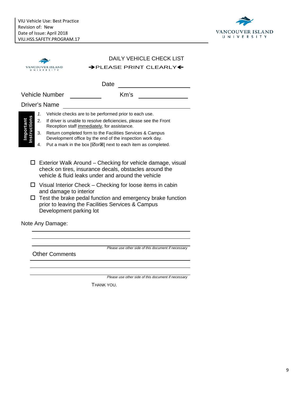

|                           |                      | <b>DAILY VEHICLE CHECK LIST</b>                                                                                                                                                                                                                                                                                                                                      |
|---------------------------|----------------------|----------------------------------------------------------------------------------------------------------------------------------------------------------------------------------------------------------------------------------------------------------------------------------------------------------------------------------------------------------------------|
|                           | ANCOUVER ISLAND      | $\rightarrow$ PLEASE PRINT CLEARLY $\leftarrow$                                                                                                                                                                                                                                                                                                                      |
|                           |                      | Date                                                                                                                                                                                                                                                                                                                                                                 |
|                           | Vehicle Number       | Km's                                                                                                                                                                                                                                                                                                                                                                 |
|                           | <b>Driver's Name</b> |                                                                                                                                                                                                                                                                                                                                                                      |
| Instructions<br>Important | 1.<br>2.<br>3.<br>4. | Vehicle checks are to be performed prior to each use.<br>If driver is unable to resolve deficiencies, please see the Front<br>Reception staff immediately, for assistance.<br>Return completed form to the Facilities Services & Campus<br>Development office by the end of the inspection work day.<br>Put a mark in the box [Øor⊠] next to each item as completed. |
|                           | $\Box$<br>$\Box$     | Exterior Walk Around - Checking for vehicle damage, visual<br>check on tires, insurance decals, obstacles around the<br>vehicle & fluid leaks under and around the vehicle<br>Visual Interior Check – Checking for loose items in cabin<br>and damage to interior                                                                                                    |
|                           | ப                    | Test the brake pedal function and emergency brake function<br>prior to leaving the Facilities Services & Campus<br>Development parking lot                                                                                                                                                                                                                           |
|                           | Note Any Damage:     |                                                                                                                                                                                                                                                                                                                                                                      |
|                           |                      |                                                                                                                                                                                                                                                                                                                                                                      |
|                           |                      |                                                                                                                                                                                                                                                                                                                                                                      |
|                           |                      | Please use other side of this document if necessary<br><b>Other Comments</b>                                                                                                                                                                                                                                                                                         |
|                           |                      |                                                                                                                                                                                                                                                                                                                                                                      |

*Please use other side of this document if necessary*

THANK YOU.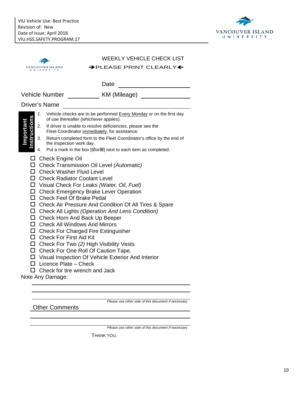

| <b>WEEKLY VEHICLE CHECK LIST</b>                                                                                                                                                                                                                                                                                                                                                                                                                                                                                                                                                                                                                                                                                                                                         |  |
|--------------------------------------------------------------------------------------------------------------------------------------------------------------------------------------------------------------------------------------------------------------------------------------------------------------------------------------------------------------------------------------------------------------------------------------------------------------------------------------------------------------------------------------------------------------------------------------------------------------------------------------------------------------------------------------------------------------------------------------------------------------------------|--|
| → PLEASE PRINT CLEARLY←<br>VANCOUVER ISLAND                                                                                                                                                                                                                                                                                                                                                                                                                                                                                                                                                                                                                                                                                                                              |  |
|                                                                                                                                                                                                                                                                                                                                                                                                                                                                                                                                                                                                                                                                                                                                                                          |  |
| Date<br><u> 1989 - Jan Barbara Barat, prima popula</u>                                                                                                                                                                                                                                                                                                                                                                                                                                                                                                                                                                                                                                                                                                                   |  |
| KM (Mileage)<br>Vehicle Number                                                                                                                                                                                                                                                                                                                                                                                                                                                                                                                                                                                                                                                                                                                                           |  |
| <b>Driver's Name</b>                                                                                                                                                                                                                                                                                                                                                                                                                                                                                                                                                                                                                                                                                                                                                     |  |
| 1. Vehicle checks are to be performed Every Monday or on the first day<br>of use thereafter (whichever applies).                                                                                                                                                                                                                                                                                                                                                                                                                                                                                                                                                                                                                                                         |  |
| mportant<br>2. If driver is unable to resolve deficiencies, please see the<br>Fleet Coordinator immediately, for assistance.                                                                                                                                                                                                                                                                                                                                                                                                                                                                                                                                                                                                                                             |  |
| 3. Return completed form to the Fleet Coordinator's office by the end of<br>the inspection work day.                                                                                                                                                                                                                                                                                                                                                                                                                                                                                                                                                                                                                                                                     |  |
| Put a mark in the box [Øor <sup>g</sup> ] next to each item as completed.<br>4.                                                                                                                                                                                                                                                                                                                                                                                                                                                                                                                                                                                                                                                                                          |  |
| □ Check Transmission Oil Level (Automatic)<br>□ Check Washer Fluid Level<br>□ Check Radiator Coolant Level<br>□ Visual Check For Leaks (Water, Oil, Fuel)<br>□ Check Emergency Brake Lever Operation<br>□ Check Feel Of Brake Pedal<br>□ Check Air Pressure And Condition Of All Tires & Spare<br>$\Box$ Check All Lights (Operation And Lens Condition)<br>$\Box$ Check Horn And Back Up Beeper<br>$\Box$ Check All Windows And Mirrors<br>$\Box$ Check For Charged Fire Extinguisher<br>$\Box$ Check For First Aid Kit<br>$\Box$ Check For Two (2) High Visibility Vests<br>□ Check For One Roll Of Caution Tape.<br>□ Visual Inspection Of Vehicle Exterior And Interior<br>$\Box$ Licence Plate - Check<br>$\Box$ Check for tire wrench and Jack<br>Note Any Damage: |  |

Other Comments

*Please use other side of this document if necessary*

*Please use other side of this document if necessary*

THANK YOU.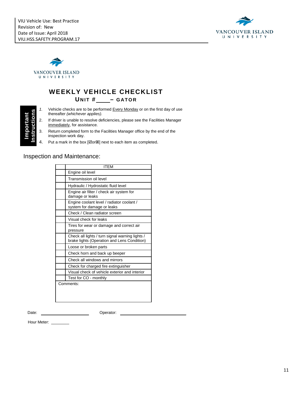



# **WEEKLY VEHICLE CHECKLIST**

**UNIT # – GATOR**

- **Important**  portant E
- thereafter *(whichever applies).*
- 1. Vehicle checks are to be performed <u>Every Monday</u> or on the first day of use<br>thereafter *(whichever applies)*.<br>2. If driver is unable to resolve deficiencies, please see the Facilities Manager<br>immediately, for assistanc 2. If driver is unable to resolve deficiencies, please see the Facilities Manager immediately, for assistance.
	- 3. Return completed form to the Facilities Manager office by the end of the inspection work day.
	- 4. Put a mark in the box  $[\nabla]$  next to each item as completed.

#### Inspection and Maintenance:

| ITEM                                                                                           |
|------------------------------------------------------------------------------------------------|
| Engine oil level                                                                               |
| Transmission oil level                                                                         |
| Hydraulic / Hydrostatic fluid level                                                            |
| Engine air filter / check air system for<br>damage or leaks                                    |
| Engine coolant level / radiator coolant /<br>system for damage or leaks                        |
| Check / Clean radiator screen                                                                  |
| Visual check for leaks                                                                         |
| Tires for wear or damage and correct air<br>pressure                                           |
| Check all lights / turn signal warning lights /<br>brake lights (Operation and Lens Condition) |
| Loose or broken parts                                                                          |
| Check horn and back up beeper                                                                  |
| Check all windows and mirrors                                                                  |
| Check for charged fire extinguisher                                                            |
| Visual check of vehicle exterior and interior                                                  |
| Test for CO - monthly                                                                          |
| Comments:                                                                                      |

Date: Operator:

Hour Meter: \_